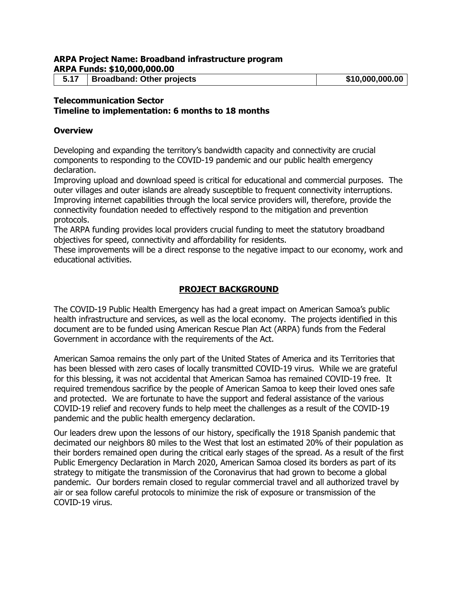#### **ARPA Project Name: Broadband infrastructure program ARPA Funds: \$10,000,000.00**

**5.17 Broadband: Other projects \$10,000,000.00**

# **Telecommunication Sector**

**Timeline to implementation: 6 months to 18 months**

#### **Overview**

Developing and expanding the territory's bandwidth capacity and connectivity are crucial components to responding to the COVID-19 pandemic and our public health emergency declaration.

Improving upload and download speed is critical for educational and commercial purposes. The outer villages and outer islands are already susceptible to frequent connectivity interruptions. Improving internet capabilities through the local service providers will, therefore, provide the connectivity foundation needed to effectively respond to the mitigation and prevention protocols.

The ARPA funding provides local providers crucial funding to meet the statutory broadband objectives for speed, connectivity and affordability for residents.

These improvements will be a direct response to the negative impact to our economy, work and educational activities.

### **PROJECT BACKGROUND**

The COVID-19 Public Health Emergency has had a great impact on American Samoa's public health infrastructure and services, as well as the local economy. The projects identified in this document are to be funded using American Rescue Plan Act (ARPA) funds from the Federal Government in accordance with the requirements of the Act.

American Samoa remains the only part of the United States of America and its Territories that has been blessed with zero cases of locally transmitted COVID-19 virus. While we are grateful for this blessing, it was not accidental that American Samoa has remained COVID-19 free. It required tremendous sacrifice by the people of American Samoa to keep their loved ones safe and protected. We are fortunate to have the support and federal assistance of the various COVID-19 relief and recovery funds to help meet the challenges as a result of the COVID-19 pandemic and the public health emergency declaration.

Our leaders drew upon the lessons of our history, specifically the 1918 Spanish pandemic that decimated our neighbors 80 miles to the West that lost an estimated 20% of their population as their borders remained open during the critical early stages of the spread. As a result of the first Public Emergency Declaration in March 2020, American Samoa closed its borders as part of its strategy to mitigate the transmission of the Coronavirus that had grown to become a global pandemic. Our borders remain closed to regular commercial travel and all authorized travel by air or sea follow careful protocols to minimize the risk of exposure or transmission of the COVID-19 virus.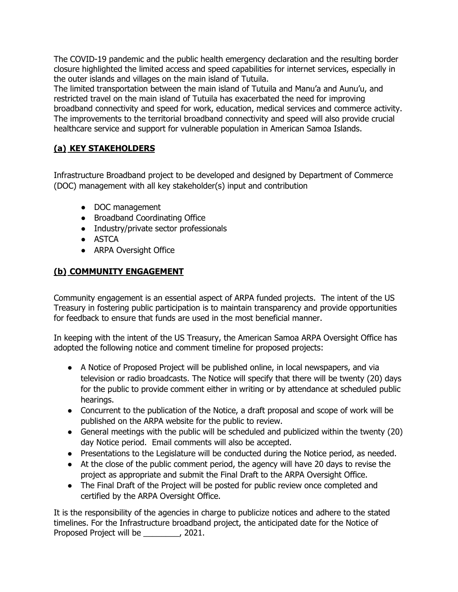The COVID-19 pandemic and the public health emergency declaration and the resulting border closure highlighted the limited access and speed capabilities for internet services, especially in the outer islands and villages on the main island of Tutuila.

The limited transportation between the main island of Tutuila and Manu'a and Aunu'u, and restricted travel on the main island of Tutuila has exacerbated the need for improving broadband connectivity and speed for work, education, medical services and commerce activity. The improvements to the territorial broadband connectivity and speed will also provide crucial healthcare service and support for vulnerable population in American Samoa Islands.

# **(a) KEY STAKEHOLDERS**

Infrastructure Broadband project to be developed and designed by Department of Commerce (DOC) management with all key stakeholder(s) input and contribution

- DOC management
- Broadband Coordinating Office
- Industry/private sector professionals
- ASTCA
- ARPA Oversight Office

# **(b) COMMUNITY ENGAGEMENT**

Community engagement is an essential aspect of ARPA funded projects. The intent of the US Treasury in fostering public participation is to maintain transparency and provide opportunities for feedback to ensure that funds are used in the most beneficial manner.

In keeping with the intent of the US Treasury, the American Samoa ARPA Oversight Office has adopted the following notice and comment timeline for proposed projects:

- A Notice of Proposed Project will be published online, in local newspapers, and via television or radio broadcasts. The Notice will specify that there will be twenty (20) days for the public to provide comment either in writing or by attendance at scheduled public hearings.
- Concurrent to the publication of the Notice, a draft proposal and scope of work will be published on the ARPA website for the public to review.
- General meetings with the public will be scheduled and publicized within the twenty (20) day Notice period. Email comments will also be accepted.
- Presentations to the Legislature will be conducted during the Notice period, as needed.
- At the close of the public comment period, the agency will have 20 days to revise the project as appropriate and submit the Final Draft to the ARPA Oversight Office.
- The Final Draft of the Project will be posted for public review once completed and certified by the ARPA Oversight Office.

It is the responsibility of the agencies in charge to publicize notices and adhere to the stated timelines. For the Infrastructure broadband project, the anticipated date for the Notice of Proposed Project will be \_\_\_\_\_\_\_\_, 2021.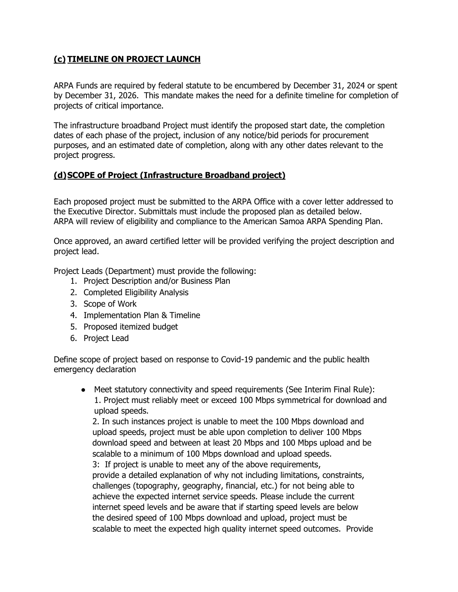## **(c) TIMELINE ON PROJECT LAUNCH**

ARPA Funds are required by federal statute to be encumbered by December 31, 2024 or spent by December 31, 2026. This mandate makes the need for a definite timeline for completion of projects of critical importance.

The infrastructure broadband Project must identify the proposed start date, the completion dates of each phase of the project, inclusion of any notice/bid periods for procurement purposes, and an estimated date of completion, along with any other dates relevant to the project progress.

#### **(d)SCOPE of Project (Infrastructure Broadband project)**

Each proposed project must be submitted to the ARPA Office with a cover letter addressed to the Executive Director. Submittals must include the proposed plan as detailed below. ARPA will review of eligibility and compliance to the American Samoa ARPA Spending Plan.

Once approved, an award certified letter will be provided verifying the project description and project lead.

Project Leads (Department) must provide the following:

- 1. Project Description and/or Business Plan
- 2. Completed Eligibility Analysis
- 3. Scope of Work
- 4. Implementation Plan & Timeline
- 5. Proposed itemized budget
- 6. Project Lead

Define scope of project based on response to Covid-19 pandemic and the public health emergency declaration

● Meet statutory connectivity and speed requirements (See Interim Final Rule): 1. Project must reliably meet or exceed 100 Mbps symmetrical for download and upload speeds.

 2. In such instances project is unable to meet the 100 Mbps download and upload speeds, project must be able upon completion to deliver 100 Mbps download speed and between at least 20 Mbps and 100 Mbps upload and be scalable to a minimum of 100 Mbps download and upload speeds.

 3: If project is unable to meet any of the above requirements, provide a detailed explanation of why not including limitations, constraints, challenges (topography, geography, financial, etc.) for not being able to achieve the expected internet service speeds. Please include the current internet speed levels and be aware that if starting speed levels are below the desired speed of 100 Mbps download and upload, project must be scalable to meet the expected high quality internet speed outcomes. Provide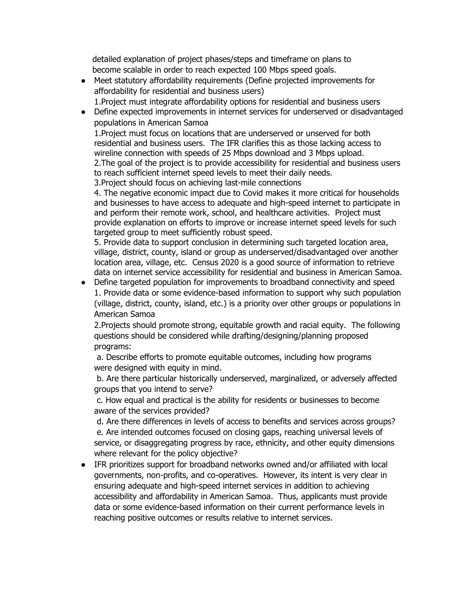detailed explanation of project phases/steps and timeframe on plans to become scalable in order to reach expected 100 Mbps speed goals.

- Meet statutory affordability requirements (Define projected improvements for affordability for residential and business users) 1.Project must integrate affordability options for residential and business users
- Define expected improvements in internet services for underserved or disadvantaged populations in American Samoa

1.Project must focus on locations that are underserved or unserved for both residential and business users. The IFR clarifies this as those lacking access to wireline connection with speeds of 25 Mbps download and 3 Mbps upload. 2.The goal of the project is to provide accessibility for residential and business users to reach sufficient internet speed levels to meet their daily needs.

3.Project should focus on achieving last-mile connections

4. The negative economic impact due to Covid makes it more critical for households and businesses to have access to adequate and high-speed internet to participate in and perform their remote work, school, and healthcare activities. Project must provide explanation on efforts to improve or increase internet speed levels for such targeted group to meet sufficiently robust speed.

5. Provide data to support conclusion in determining such targeted location area, village, district, county, island or group as underserved/disadvantaged over another location area, village, etc. Census 2020 is a good source of information to retrieve data on internet service accessibility for residential and business in American Samoa.

● Define targeted population for improvements to broadband connectivity and speed 1. Provide data or some evidence-based information to support why such population (village, district, county, island, etc.) is a priority over other groups or populations in American Samoa

2.Projects should promote strong, equitable growth and racial equity. The following questions should be considered while drafting/designing/planning proposed programs:

a. Describe efforts to promote equitable outcomes, including how programs were designed with equity in mind.

b. Are there particular historically underserved, marginalized, or adversely affected groups that you intend to serve?

c. How equal and practical is the ability for residents or businesses to become aware of the services provided?

d. Are there differences in levels of access to benefits and services across groups? e. Are intended outcomes focused on closing gaps, reaching universal levels of service, or disaggregating progress by race, ethnicity, and other equity dimensions where relevant for the policy objective?

● IFR prioritizes support for broadband networks owned and/or affiliated with local governments, non-profits, and co-operatives. However, its intent is very clear in ensuring adequate and high-speed internet services in addition to achieving accessibility and affordability in American Samoa. Thus, applicants must provide data or some evidence-based information on their current performance levels in reaching positive outcomes or results relative to internet services.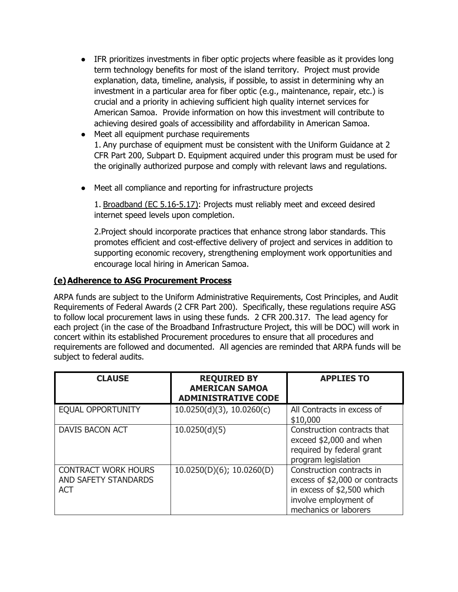- IFR prioritizes investments in fiber optic projects where feasible as it provides long term technology benefits for most of the island territory. Project must provide explanation, data, timeline, analysis, if possible, to assist in determining why an investment in a particular area for fiber optic (e.g., maintenance, repair, etc.) is crucial and a priority in achieving sufficient high quality internet services for American Samoa. Provide information on how this investment will contribute to achieving desired goals of accessibility and affordability in American Samoa.
- Meet all equipment purchase requirements 1. Any purchase of equipment must be consistent with the Uniform Guidance at 2 CFR Part 200, Subpart D. Equipment acquired under this program must be used for the originally authorized purpose and comply with relevant laws and regulations.
- Meet all compliance and reporting for infrastructure projects

1. Broadband (EC 5.16-5.17): Projects must reliably meet and exceed desired internet speed levels upon completion.

2.Project should incorporate practices that enhance strong labor standards. This promotes efficient and cost-effective delivery of project and services in addition to supporting economic recovery, strengthening employment work opportunities and encourage local hiring in American Samoa.

### **(e)Adherence to ASG Procurement Process**

ARPA funds are subject to the Uniform Administrative Requirements, Cost Principles, and Audit Requirements of Federal Awards (2 CFR Part 200). Specifically, these regulations require ASG to follow local procurement laws in using these funds. 2 CFR 200.317. The lead agency for each project (in the case of the Broadband Infrastructure Project, this will be DOC) will work in concert within its established Procurement procedures to ensure that all procedures and requirements are followed and documented. All agencies are reminded that ARPA funds will be subject to federal audits.

| <b>CLAUSE</b>                                                    | <b>REQUIRED BY</b><br><b>AMERICAN SAMOA</b><br><b>ADMINISTRATIVE CODE</b> | <b>APPLIES TO</b>                                                                                                                           |
|------------------------------------------------------------------|---------------------------------------------------------------------------|---------------------------------------------------------------------------------------------------------------------------------------------|
| <b>EQUAL OPPORTUNITY</b>                                         | $10.0250(d)(3)$ , $10.0260(c)$                                            | All Contracts in excess of<br>\$10,000                                                                                                      |
| <b>DAVIS BACON ACT</b>                                           | 10.0250(d)(5)                                                             | Construction contracts that<br>exceed \$2,000 and when<br>required by federal grant<br>program legislation                                  |
| <b>CONTRACT WORK HOURS</b><br>AND SAFETY STANDARDS<br><b>ACT</b> | $10.0250(D)(6)$ ; 10.0260(D)                                              | Construction contracts in<br>excess of \$2,000 or contracts<br>in excess of \$2,500 which<br>involve employment of<br>mechanics or laborers |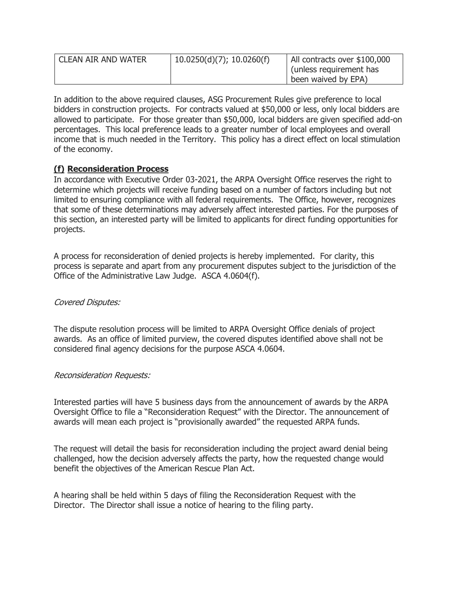| I CLEAN AIR AND WATER | $10.0250(d)(7)$ ; 10.0260(f) | All contracts over \$100,000<br>(unless requirement has<br>been waived by EPA) |
|-----------------------|------------------------------|--------------------------------------------------------------------------------|
|                       |                              |                                                                                |

In addition to the above required clauses, ASG Procurement Rules give preference to local bidders in construction projects. For contracts valued at \$50,000 or less, only local bidders are allowed to participate. For those greater than \$50,000, local bidders are given specified add-on percentages. This local preference leads to a greater number of local employees and overall income that is much needed in the Territory. This policy has a direct effect on local stimulation of the economy.

### **(f) Reconsideration Process**

In accordance with Executive Order 03-2021, the ARPA Oversight Office reserves the right to determine which projects will receive funding based on a number of factors including but not limited to ensuring compliance with all federal requirements. The Office, however, recognizes that some of these determinations may adversely affect interested parties. For the purposes of this section, an interested party will be limited to applicants for direct funding opportunities for projects.

A process for reconsideration of denied projects is hereby implemented. For clarity, this process is separate and apart from any procurement disputes subject to the jurisdiction of the Office of the Administrative Law Judge. ASCA 4.0604(f).

### Covered Disputes:

The dispute resolution process will be limited to ARPA Oversight Office denials of project awards. As an office of limited purview, the covered disputes identified above shall not be considered final agency decisions for the purpose ASCA 4.0604.

### Reconsideration Requests:

Interested parties will have 5 business days from the announcement of awards by the ARPA Oversight Office to file a "Reconsideration Request" with the Director. The announcement of awards will mean each project is "provisionally awarded" the requested ARPA funds.

The request will detail the basis for reconsideration including the project award denial being challenged, how the decision adversely affects the party, how the requested change would benefit the objectives of the American Rescue Plan Act.

A hearing shall be held within 5 days of filing the Reconsideration Request with the Director. The Director shall issue a notice of hearing to the filing party.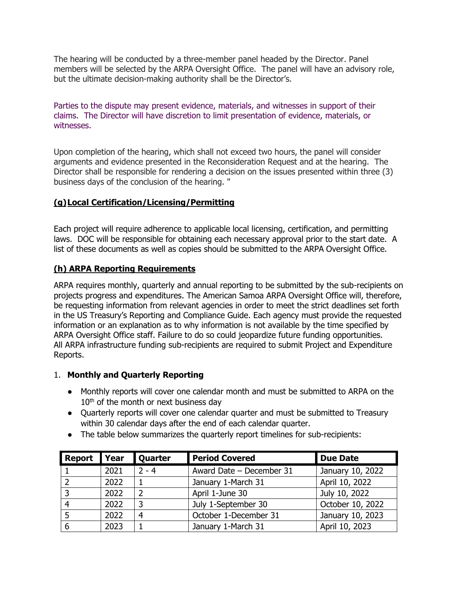The hearing will be conducted by a three-member panel headed by the Director. Panel members will be selected by the ARPA Oversight Office. The panel will have an advisory role, but the ultimate decision-making authority shall be the Director's.

Parties to the dispute may present evidence, materials, and witnesses in support of their claims. The Director will have discretion to limit presentation of evidence, materials, or witnesses.

Upon completion of the hearing, which shall not exceed two hours, the panel will consider arguments and evidence presented in the Reconsideration Request and at the hearing. The Director shall be responsible for rendering a decision on the issues presented within three (3) business days of the conclusion of the hearing. "

### **(g)Local Certification/Licensing/Permitting**

Each project will require adherence to applicable local licensing, certification, and permitting laws. DOC will be responsible for obtaining each necessary approval prior to the start date. A list of these documents as well as copies should be submitted to the ARPA Oversight Office.

### **(h) ARPA Reporting Requirements**

ARPA requires monthly, quarterly and annual reporting to be submitted by the sub-recipients on projects progress and expenditures. The American Samoa ARPA Oversight Office will, therefore, be requesting information from relevant agencies in order to meet the strict deadlines set forth in the US Treasury's Reporting and Compliance Guide. Each agency must provide the requested information or an explanation as to why information is not available by the time specified by ARPA Oversight Office staff. Failure to do so could jeopardize future funding opportunities. All ARPA infrastructure funding sub-recipients are required to submit Project and Expenditure Reports.

### 1. **Monthly and Quarterly Reporting**

- Monthly reports will cover one calendar month and must be submitted to ARPA on the  $10<sup>th</sup>$  of the month or next business day
- Quarterly reports will cover one calendar quarter and must be submitted to Treasury within 30 calendar days after the end of each calendar quarter.
- The table below summarizes the quarterly report timelines for sub-recipients:

| Report   Year |      | <b>Quarter</b> | <b>Period Covered</b>    | <b>Due Date</b>  |
|---------------|------|----------------|--------------------------|------------------|
|               | 2021 | $2 - 4$        | Award Date - December 31 | January 10, 2022 |
|               | 2022 |                | January 1-March 31       | April 10, 2022   |
|               | 2022 |                | April 1-June 30          | July 10, 2022    |
|               | 2022 | 2              | July 1-September 30      | October 10, 2022 |
|               | 2022 | 4              | October 1-December 31    | January 10, 2023 |
|               | 2023 |                | January 1-March 31       | April 10, 2023   |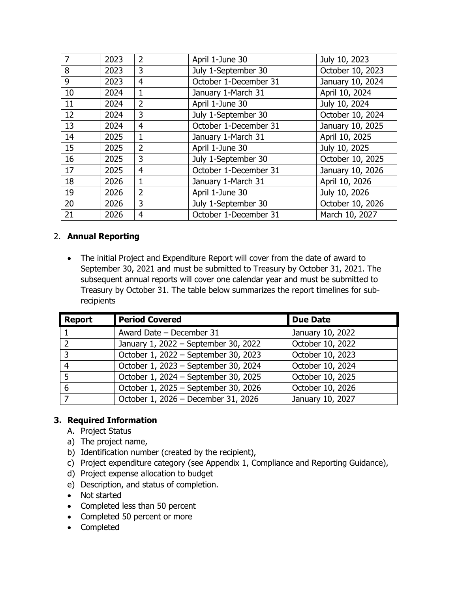| 7  | 2023 | $\overline{2}$ | April 1-June 30       | July 10, 2023    |
|----|------|----------------|-----------------------|------------------|
| 8  | 2023 | 3              | July 1-September 30   | October 10, 2023 |
| 9  | 2023 | 4              | October 1-December 31 | January 10, 2024 |
| 10 | 2024 | 1              | January 1-March 31    | April 10, 2024   |
| 11 | 2024 | $\overline{2}$ | April 1-June 30       | July 10, 2024    |
| 12 | 2024 | 3              | July 1-September 30   | October 10, 2024 |
| 13 | 2024 | $\overline{4}$ | October 1-December 31 | January 10, 2025 |
| 14 | 2025 | $\mathbf{1}$   | January 1-March 31    | April 10, 2025   |
| 15 | 2025 | $\overline{2}$ | April 1-June 30       | July 10, 2025    |
| 16 | 2025 | 3              | July 1-September 30   | October 10, 2025 |
| 17 | 2025 | 4              | October 1-December 31 | January 10, 2026 |
| 18 | 2026 | 1              | January 1-March 31    | April 10, 2026   |
| 19 | 2026 | $\overline{2}$ | April 1-June 30       | July 10, 2026    |
| 20 | 2026 | 3              | July 1-September 30   | October 10, 2026 |
| 21 | 2026 | 4              | October 1-December 31 | March 10, 2027   |

### 2. **Annual Reporting**

• The initial Project and Expenditure Report will cover from the date of award to September 30, 2021 and must be submitted to Treasury by October 31, 2021. The subsequent annual reports will cover one calendar year and must be submitted to Treasury by October 31. The table below summarizes the report timelines for subrecipients

| <b>Report</b> | <b>Period Covered</b>                | <b>Due Date</b>  |
|---------------|--------------------------------------|------------------|
|               | Award Date - December 31             | January 10, 2022 |
| っ             | January 1, 2022 - September 30, 2022 | October 10, 2022 |
| 3             | October 1, 2022 - September 30, 2023 | October 10, 2023 |
| 4             | October 1, 2023 - September 30, 2024 | October 10, 2024 |
| 5             | October 1, 2024 - September 30, 2025 | October 10, 2025 |
| 6             | October 1, 2025 - September 30, 2026 | October 10, 2026 |
|               | October 1, 2026 - December 31, 2026  | January 10, 2027 |

### **3. Required Information**

- A. Project Status
- a) The project name,
- b) Identification number (created by the recipient),
- c) Project expenditure category (see Appendix 1, Compliance and Reporting Guidance),
- d) Project expense allocation to budget
- e) Description, and status of completion.
- Not started
- Completed less than 50 percent
- Completed 50 percent or more
- Completed